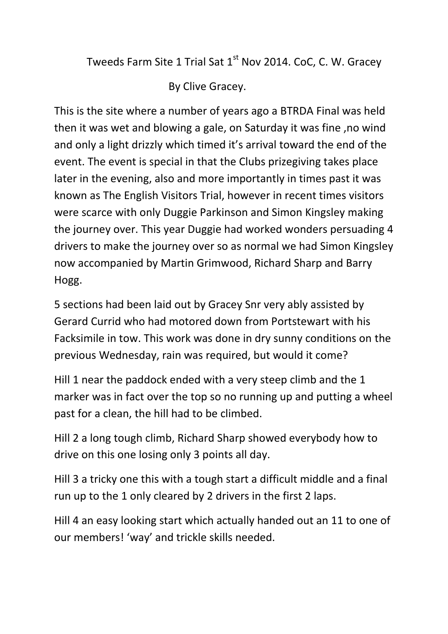Tweeds Farm Site 1 Trial Sat 1<sup>st</sup> Nov 2014. CoC, C. W. Gracey

By Clive Gracey.

This is the site where a number of years ago a BTRDA Final was held then it was wet and blowing a gale, on Saturday it was fine ,no wind and only a light drizzly which timed it's arrival toward the end of the event. The event is special in that the Clubs prizegiving takes place later in the evening, also and more importantly in times past it was known as The English Visitors Trial, however in recent times visitors were scarce with only Duggie Parkinson and Simon Kingsley making the journey over. This year Duggie had worked wonders persuading 4 drivers to make the journey over so as normal we had Simon Kingsley now accompanied by Martin Grimwood, Richard Sharp and Barry Hogg.

5 sections had been laid out by Gracey Snr very ably assisted by Gerard Currid who had motored down from Portstewart with his Facksimile in tow. This work was done in dry sunny conditions on the previous Wednesday, rain was required, but would it come?

Hill 1 near the paddock ended with a very steep climb and the 1 marker was in fact over the top so no running up and putting a wheel past for a clean, the hill had to be climbed.

Hill 2 a long tough climb, Richard Sharp showed everybody how to drive on this one losing only 3 points all day.

Hill 3 a tricky one this with a tough start a difficult middle and a final run up to the 1 only cleared by 2 drivers in the first 2 laps.

Hill 4 an easy looking start which actually handed out an 11 to one of our members! 'way' and trickle skills needed.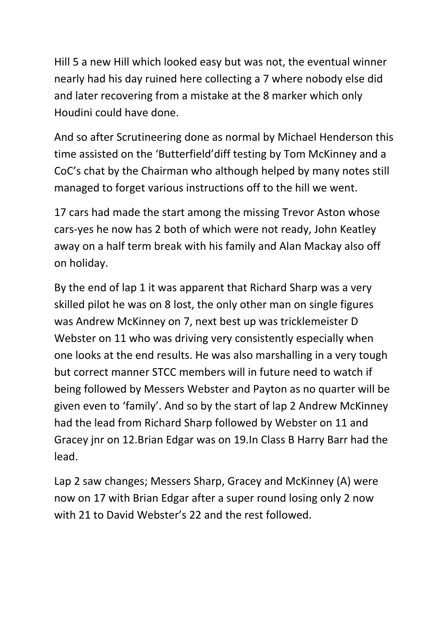Hill 5 a new Hill which looked easy but was not, the eventual winner nearly had his day ruined here collecting a 7 where nobody else did and later recovering from a mistake at the 8 marker which only Houdini could have done.

And so after Scrutineering done as normal by Michael Henderson this time assisted on the 'Butterfield'diff testing by Tom McKinney and a CoC's chat by the Chairman who although helped by many notes still managed to forget various instructions off to the hill we went.

17 cars had made the start among the missing Trevor Aston whose cars-yes he now has 2 both of which were not ready, John Keatley away on a half term break with his family and Alan Mackay also off on holiday.

By the end of lap 1 it was apparent that Richard Sharp was a very skilled pilot he was on 8 lost, the only other man on single figures was Andrew McKinney on 7, next best up was tricklemeister D Webster on 11 who was driving very consistently especially when one looks at the end results. He was also marshalling in a very tough but correct manner STCC members will in future need to watch if being followed by Messers Webster and Payton as no quarter will be given even to 'family'. And so by the start of lap 2 Andrew McKinney had the lead from Richard Sharp followed by Webster on 11 and Gracey jnr on 12.Brian Edgar was on 19.In Class B Harry Barr had the lead.

Lap 2 saw changes; Messers Sharp, Gracey and McKinney (A) were now on 17 with Brian Edgar after a super round losing only 2 now with 21 to David Webster's 22 and the rest followed.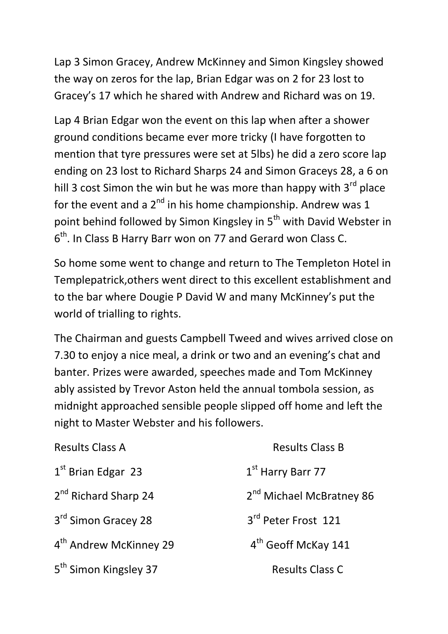Lap 3 Simon Gracey, Andrew McKinney and Simon Kingsley showed the way on zeros for the lap, Brian Edgar was on 2 for 23 lost to Gracey's 17 which he shared with Andrew and Richard was on 19.

Lap 4 Brian Edgar won the event on this lap when after a shower ground conditions became ever more tricky (I have forgotten to mention that tyre pressures were set at 5lbs) he did a zero score lap ending on 23 lost to Richard Sharps 24 and Simon Graceys 28, a 6 on hill 3 cost Simon the win but he was more than happy with  $3<sup>rd</sup>$  place for the event and a  $2^{nd}$  in his home championship. Andrew was 1 point behind followed by Simon Kingsley in 5<sup>th</sup> with David Webster in 6<sup>th</sup>. In Class B Harry Barr won on 77 and Gerard won Class C.

So home some went to change and return to The Templeton Hotel in Templepatrick,others went direct to this excellent establishment and to the bar where Dougie P David W and many McKinney's put the world of trialling to rights.

The Chairman and guests Campbell Tweed and wives arrived close on 7.30 to enjoy a nice meal, a drink or two and an evening's chat and banter. Prizes were awarded, speeches made and Tom McKinney ably assisted by Trevor Aston held the annual tombola session, as midnight approached sensible people slipped off home and left the night to Master Webster and his followers.

| <b>Results Class A</b>             | <b>Results Class B</b>               |
|------------------------------------|--------------------------------------|
| $1st$ Brian Edgar 23               | 1 <sup>st</sup> Harry Barr 77        |
| 2 <sup>nd</sup> Richard Sharp 24   | 2 <sup>nd</sup> Michael McBratney 86 |
| 3 <sup>rd</sup> Simon Gracey 28    | 3rd Peter Frost 121                  |
| 4 <sup>th</sup> Andrew McKinney 29 | 4 <sup>th</sup> Geoff McKay 141      |
| 5 <sup>th</sup> Simon Kingsley 37  | <b>Results Class C</b>               |